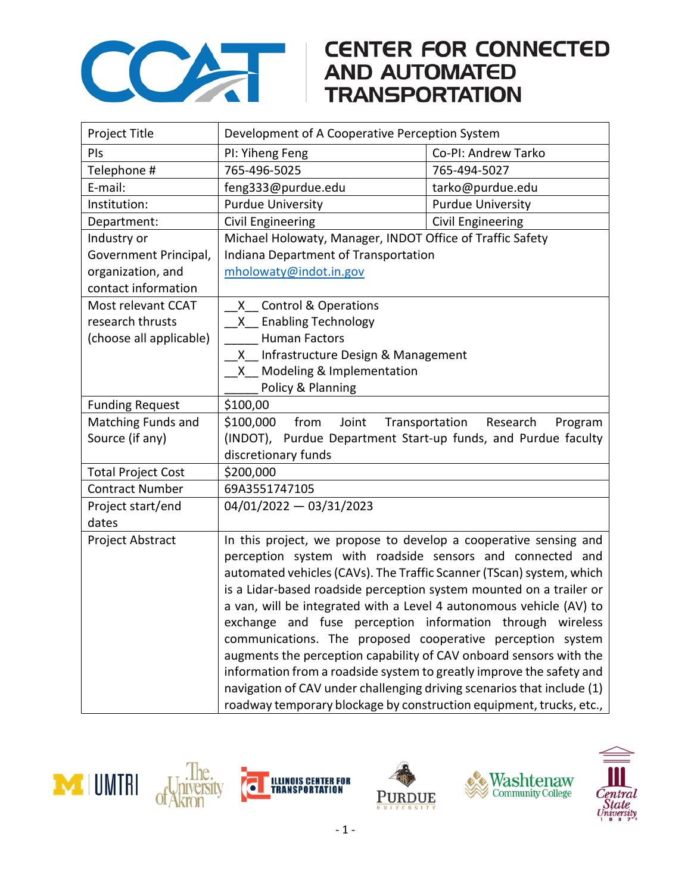

## **CENTER FOR CONNECTED AND AUTOMATED TRANSPORTATION**

| Project Title             | Development of A Cooperative Perception System                         |                          |  |
|---------------------------|------------------------------------------------------------------------|--------------------------|--|
| PIs                       | PI: Yiheng Feng                                                        | Co-PI: Andrew Tarko      |  |
| Telephone #               | 765-496-5025                                                           | 765-494-5027             |  |
| E-mail:                   | feng333@purdue.edu                                                     | tarko@purdue.edu         |  |
| Institution:              | <b>Purdue University</b>                                               | <b>Purdue University</b> |  |
| Department:               | Civil Engineering                                                      | Civil Engineering        |  |
| Industry or               | Michael Holowaty, Manager, INDOT Office of Traffic Safety              |                          |  |
| Government Principal,     | Indiana Department of Transportation                                   |                          |  |
| organization, and         | mholowaty@indot.in.gov                                                 |                          |  |
| contact information       |                                                                        |                          |  |
| Most relevant CCAT        | X Control & Operations                                                 |                          |  |
| research thrusts          | X Enabling Technology                                                  |                          |  |
| (choose all applicable)   | <b>Human Factors</b>                                                   |                          |  |
|                           | X Infrastructure Design & Management                                   |                          |  |
|                           | X Modeling & Implementation                                            |                          |  |
|                           | Policy & Planning                                                      |                          |  |
| <b>Funding Request</b>    | \$100,00                                                               |                          |  |
| Matching Funds and        | \$100,000<br>from<br>Joint<br>Transportation<br>Research<br>Program    |                          |  |
| Source (if any)           | (INDOT), Purdue Department Start-up funds, and Purdue faculty          |                          |  |
|                           | discretionary funds                                                    |                          |  |
| <b>Total Project Cost</b> | \$200,000                                                              |                          |  |
| <b>Contract Number</b>    | 69A3551747105                                                          |                          |  |
| Project start/end         | $04/01/2022 - 03/31/2023$                                              |                          |  |
| dates                     |                                                                        |                          |  |
| Project Abstract          | In this project, we propose to develop a cooperative sensing and       |                          |  |
|                           | perception system with roadside sensors and connected and              |                          |  |
|                           | automated vehicles (CAVs). The Traffic Scanner (TScan) system, which   |                          |  |
|                           | is a Lidar-based roadside perception system mounted on a trailer or    |                          |  |
|                           | a van, will be integrated with a Level 4 autonomous vehicle (AV) to    |                          |  |
|                           | exchange and fuse perception information through wireless              |                          |  |
|                           | communications. The proposed cooperative perception system             |                          |  |
|                           | augments the perception capability of CAV onboard sensors with the     |                          |  |
|                           | information from a roadside system to greatly improve the safety and   |                          |  |
|                           | navigation of CAV under challenging driving scenarios that include (1) |                          |  |
|                           | roadway temporary blockage by construction equipment, trucks, etc.,    |                          |  |







Ò